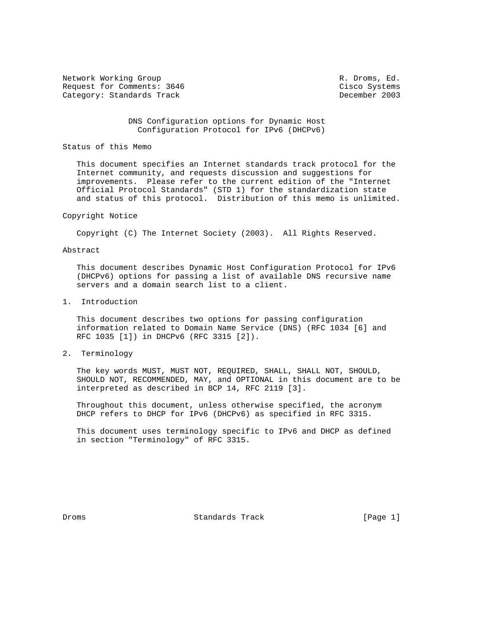Network Working Group **R. Droms, Ed. R. Droms, Ed.** Request for Comments: 3646 Cisco Systems Category: Standards Track December 2003

 DNS Configuration options for Dynamic Host Configuration Protocol for IPv6 (DHCPv6)

### Status of this Memo

 This document specifies an Internet standards track protocol for the Internet community, and requests discussion and suggestions for improvements. Please refer to the current edition of the "Internet Official Protocol Standards" (STD 1) for the standardization state and status of this protocol. Distribution of this memo is unlimited.

#### Copyright Notice

Copyright (C) The Internet Society (2003). All Rights Reserved.

# Abstract

 This document describes Dynamic Host Configuration Protocol for IPv6 (DHCPv6) options for passing a list of available DNS recursive name servers and a domain search list to a client.

1. Introduction

 This document describes two options for passing configuration information related to Domain Name Service (DNS) (RFC 1034 [6] and RFC 1035 [1]) in DHCPv6 (RFC 3315 [2]).

2. Terminology

 The key words MUST, MUST NOT, REQUIRED, SHALL, SHALL NOT, SHOULD, SHOULD NOT, RECOMMENDED, MAY, and OPTIONAL in this document are to be interpreted as described in BCP 14, RFC 2119 [3].

 Throughout this document, unless otherwise specified, the acronym DHCP refers to DHCP for IPv6 (DHCPv6) as specified in RFC 3315.

 This document uses terminology specific to IPv6 and DHCP as defined in section "Terminology" of RFC 3315.

Droms Standards Track [Page 1]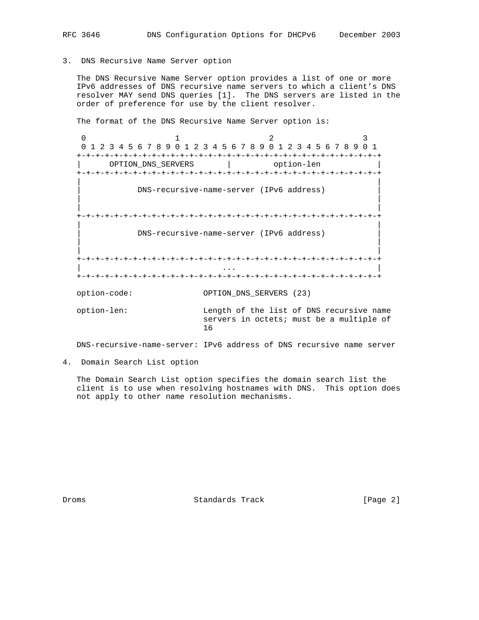### 3. DNS Recursive Name Server option

 The DNS Recursive Name Server option provides a list of one or more IPv6 addresses of DNS recursive name servers to which a client's DNS resolver MAY send DNS queries [1]. The DNS servers are listed in the order of preference for use by the client resolver.

The format of the DNS Recursive Name Server option is:

0  $1$  2 3 0 1 2 3 4 5 6 7 8 9 0 1 2 3 4 5 6 7 8 9 0 1 2 3 4 5 6 7 8 9 0 1 +-+-+-+-+-+-+-+-+-+-+-+-+-+-+-+-+-+-+-+-+-+-+-+-+-+-+-+-+-+-+-+-+ OPTION\_DNS\_SERVERS | option-len +-+-+-+-+-+-+-+-+-+-+-+-+-+-+-+-+-+-+-+-+-+-+-+-+-+-+-+-+-+-+-+-+ | | | DNS-recursive-name-server (IPv6 address) | | | | | +-+-+-+-+-+-+-+-+-+-+-+-+-+-+-+-+-+-+-+-+-+-+-+-+-+-+-+-+-+-+-+-+ | | | DNS-recursive-name-server (IPv6 address) | | | | | +-+-+-+-+-+-+-+-+-+-+-+-+-+-+-+-+-+-+-+-+-+-+-+-+-+-+-+-+-+-+-+-+ | ... | ... | ... | ... | ... | ... | ... | ... | ... | ... | ... | ... | ... | ... | ... | ... | ... | ... | . +-+-+-+-+-+-+-+-+-+-+-+-+-+-+-+-+-+-+-+-+-+-+-+-+-+-+-+-+-+-+-+-+ option-code: OPTION\_DNS\_SERVERS (23) option-len: Length of the list of DNS recursive name servers in octets; must be a multiple of 16

DNS-recursive-name-server: IPv6 address of DNS recursive name server

4. Domain Search List option

 The Domain Search List option specifies the domain search list the client is to use when resolving hostnames with DNS. This option does not apply to other name resolution mechanisms.

Droms Standards Track [Page 2]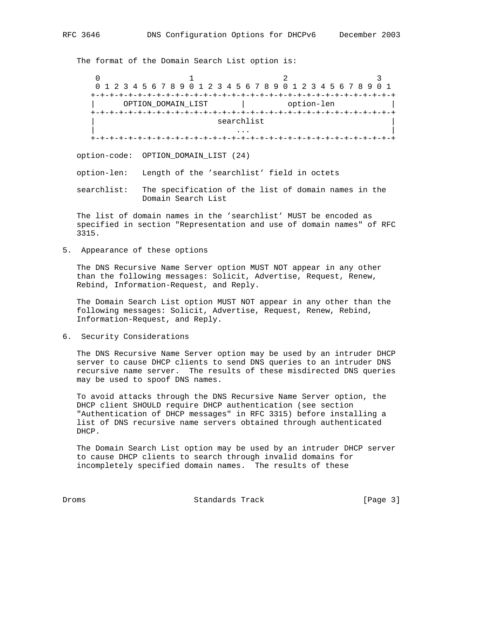The format of the Domain Search List option is:

0  $1$  2 3 0 1 2 3 4 5 6 7 8 9 0 1 2 3 4 5 6 7 8 9 0 1 2 3 4 5 6 7 8 9 0 1 +-+-+-+-+-+-+-+-+-+-+-+-+-+-+-+-+-+-+-+-+-+-+-+-+-+-+-+-+-+-+-+-+ OPTION\_DOMAIN\_LIST | option-len +-+-+-+-+-+-+-+-+-+-+-+-+-+-+-+-+-+-+-+-+-+-+-+-+-+-+-+-+-+-+-+-+ searchlist | ... | ... | ... | ... | ... | ... | ... | ... | ... | ... | ... | ... | ... | ... | ... | ... | ... | ... | 1 +-+-+-+-+-+-+-+-+-+-+-+-+-+-+-+-+-+-+-+-+-+-+-+-+-+-+-+-+-+-+-+-+

option-code: OPTION\_DOMAIN\_LIST (24)

option-len: Length of the 'searchlist' field in octets

 searchlist: The specification of the list of domain names in the Domain Search List

 The list of domain names in the 'searchlist' MUST be encoded as specified in section "Representation and use of domain names" of RFC 3315.

5. Appearance of these options

 The DNS Recursive Name Server option MUST NOT appear in any other than the following messages: Solicit, Advertise, Request, Renew, Rebind, Information-Request, and Reply.

 The Domain Search List option MUST NOT appear in any other than the following messages: Solicit, Advertise, Request, Renew, Rebind, Information-Request, and Reply.

6. Security Considerations

 The DNS Recursive Name Server option may be used by an intruder DHCP server to cause DHCP clients to send DNS queries to an intruder DNS recursive name server. The results of these misdirected DNS queries may be used to spoof DNS names.

 To avoid attacks through the DNS Recursive Name Server option, the DHCP client SHOULD require DHCP authentication (see section "Authentication of DHCP messages" in RFC 3315) before installing a list of DNS recursive name servers obtained through authenticated DHCP.

 The Domain Search List option may be used by an intruder DHCP server to cause DHCP clients to search through invalid domains for incompletely specified domain names. The results of these

Droms **Standards Track** [Page 3]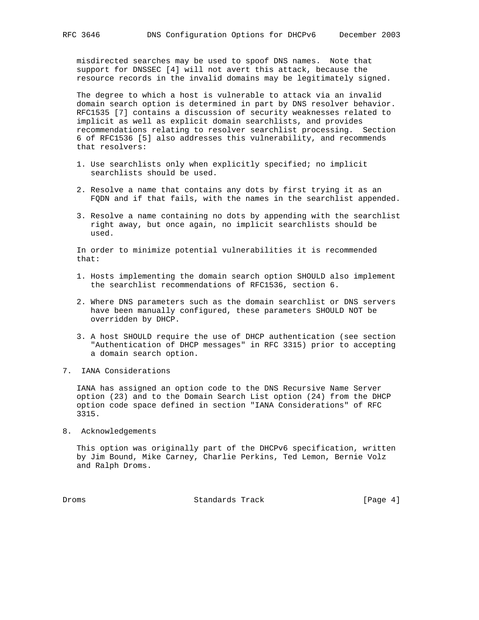misdirected searches may be used to spoof DNS names. Note that support for DNSSEC [4] will not avert this attack, because the resource records in the invalid domains may be legitimately signed.

 The degree to which a host is vulnerable to attack via an invalid domain search option is determined in part by DNS resolver behavior. RFC1535 [7] contains a discussion of security weaknesses related to implicit as well as explicit domain searchlists, and provides recommendations relating to resolver searchlist processing. Section 6 of RFC1536 [5] also addresses this vulnerability, and recommends that resolvers:

- 1. Use searchlists only when explicitly specified; no implicit searchlists should be used.
- 2. Resolve a name that contains any dots by first trying it as an FQDN and if that fails, with the names in the searchlist appended.
- 3. Resolve a name containing no dots by appending with the searchlist right away, but once again, no implicit searchlists should be used.

 In order to minimize potential vulnerabilities it is recommended that:

- 1. Hosts implementing the domain search option SHOULD also implement the searchlist recommendations of RFC1536, section 6.
- 2. Where DNS parameters such as the domain searchlist or DNS servers have been manually configured, these parameters SHOULD NOT be overridden by DHCP.
- 3. A host SHOULD require the use of DHCP authentication (see section "Authentication of DHCP messages" in RFC 3315) prior to accepting a domain search option.
- 7. IANA Considerations

 IANA has assigned an option code to the DNS Recursive Name Server option (23) and to the Domain Search List option (24) from the DHCP option code space defined in section "IANA Considerations" of RFC 3315.

8. Acknowledgements

 This option was originally part of the DHCPv6 specification, written by Jim Bound, Mike Carney, Charlie Perkins, Ted Lemon, Bernie Volz and Ralph Droms.

Droms **Standards Track** [Page 4]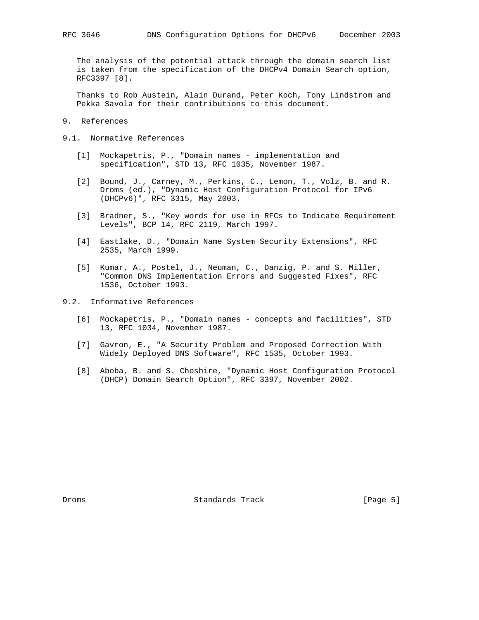The analysis of the potential attack through the domain search list is taken from the specification of the DHCPv4 Domain Search option, RFC3397 [8].

 Thanks to Rob Austein, Alain Durand, Peter Koch, Tony Lindstrom and Pekka Savola for their contributions to this document.

- 9. References
- 9.1. Normative References
	- [1] Mockapetris, P., "Domain names implementation and specification", STD 13, RFC 1035, November 1987.
	- [2] Bound, J., Carney, M., Perkins, C., Lemon, T., Volz, B. and R. Droms (ed.), "Dynamic Host Configuration Protocol for IPv6 (DHCPv6)", RFC 3315, May 2003.
	- [3] Bradner, S., "Key words for use in RFCs to Indicate Requirement Levels", BCP 14, RFC 2119, March 1997.
	- [4] Eastlake, D., "Domain Name System Security Extensions", RFC 2535, March 1999.
	- [5] Kumar, A., Postel, J., Neuman, C., Danzig, P. and S. Miller, "Common DNS Implementation Errors and Suggested Fixes", RFC 1536, October 1993.
- 9.2. Informative References
	- [6] Mockapetris, P., "Domain names concepts and facilities", STD 13, RFC 1034, November 1987.
	- [7] Gavron, E., "A Security Problem and Proposed Correction With Widely Deployed DNS Software", RFC 1535, October 1993.
	- [8] Aboba, B. and S. Cheshire, "Dynamic Host Configuration Protocol (DHCP) Domain Search Option", RFC 3397, November 2002.

Droms 6. Standards Track 1996 [Page 5]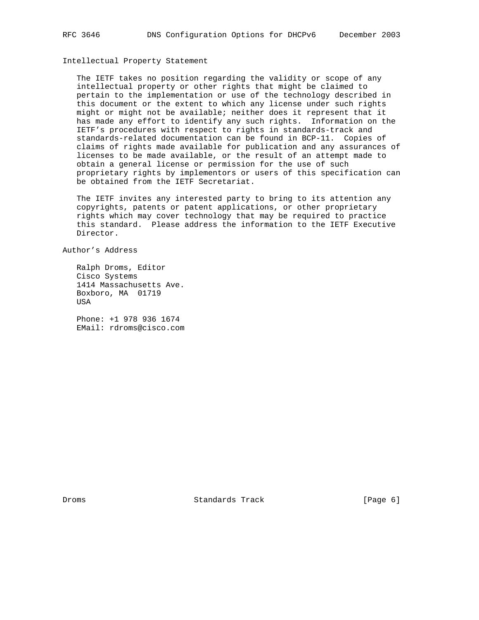# Intellectual Property Statement

 The IETF takes no position regarding the validity or scope of any intellectual property or other rights that might be claimed to pertain to the implementation or use of the technology described in this document or the extent to which any license under such rights might or might not be available; neither does it represent that it has made any effort to identify any such rights. Information on the IETF's procedures with respect to rights in standards-track and standards-related documentation can be found in BCP-11. Copies of claims of rights made available for publication and any assurances of licenses to be made available, or the result of an attempt made to obtain a general license or permission for the use of such proprietary rights by implementors or users of this specification can be obtained from the IETF Secretariat.

 The IETF invites any interested party to bring to its attention any copyrights, patents or patent applications, or other proprietary rights which may cover technology that may be required to practice this standard. Please address the information to the IETF Executive Director.

Author's Address

 Ralph Droms, Editor Cisco Systems 1414 Massachusetts Ave. Boxboro, MA 01719 USA

 Phone: +1 978 936 1674 EMail: rdroms@cisco.com

Droms 6 (Page 6) Standards Track (Page 6)